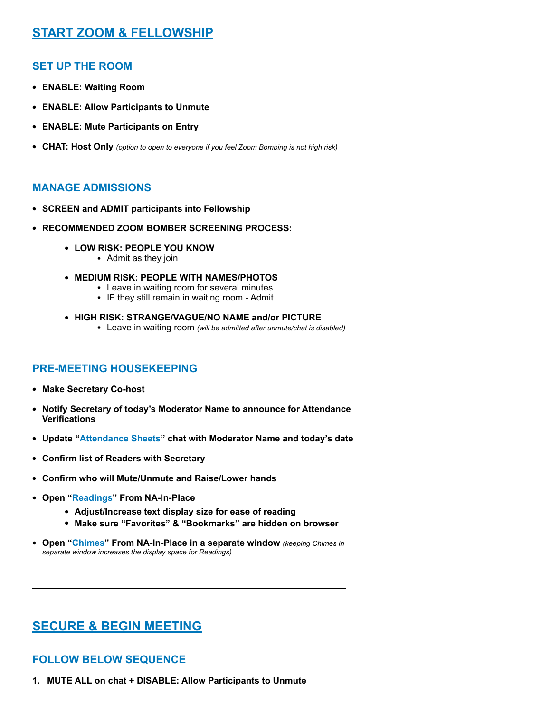# **START ZOOM & FELLOWSHIP**

### **SET UP THE ROOM**

- **• ENABLE: Waiting Room**
- **• ENABLE: Allow Participants to Unmute**
- **• ENABLE: Mute Participants on Entry**
- **• CHAT: Host Only** *(option to open to everyone if you feel Zoom Bombing is not high risk)*

## **MANAGE ADMISSIONS**

- **• SCREEN and ADMIT participants into Fellowship**
- **• RECOMMENDED ZOOM BOMBER SCREENING PROCESS:**
	- **• LOW RISK: PEOPLE YOU KNOW**
		- Admit as they join
	- **• MEDIUM RISK: PEOPLE WITH NAMES/PHOTOS**
		- Leave in waiting room for several minutes
		- IF they still remain in waiting room Admit
	- **• HIGH RISK: STRANGE/VAGUE/NO NAME and/or PICTURE**
		- Leave in waiting room *(will be admitted after unmute/chat is disabled)*

### **PRE-MEETING HOUSEKEEPING**

- **• Make Secretary Co-host**
- **• Notify Secretary of today's Moderator Name to announce for Attendance Verifications**
- **• Update "[Attendance Sheets"](#page-4-0) chat with Moderator Name and today's date**
- **• Confirm list of Readers with Secretary**
- **• Confirm who will Mute/Unmute and Raise/Lower hands**
- **• Open ["Readings](http://na-in-place.org/readings/#what)" From NA-In-Place**
	- **• Adjust/Increase text display size for ease of reading**
	- **• Make sure "Favorites" & "Bookmarks" are hidden on browser**
- **• Open ["Chimes](http://na-in-place.org/resources/chimes/)" From NA-In-Place in a separate window** *(keeping Chimes in separate window increases the display space for Readings)*

# **SECURE & BEGIN MEETING**

### **FOLLOW BELOW SEQUENCE**

**1. MUTE ALL on chat + DISABLE: Allow Participants to Unmute**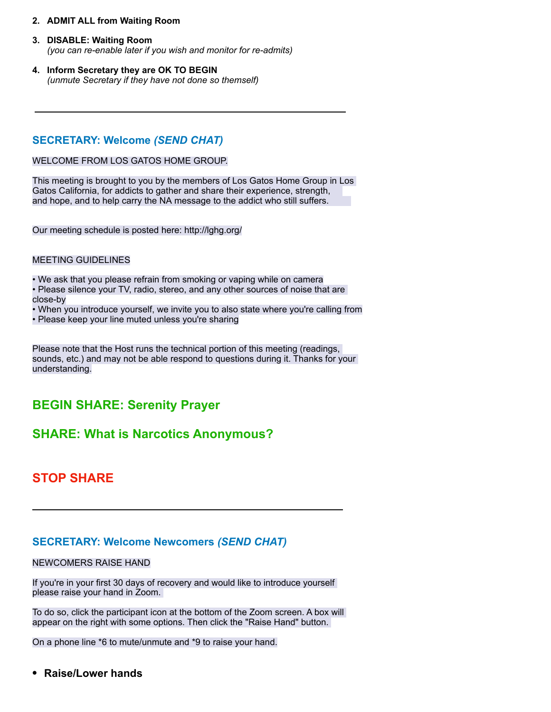#### **2. ADMIT ALL from Waiting Room**

### **3. DISABLE: Waiting Room**

*(you can re-enable later if you wish and monitor for re-admits)*

**4. Inform Secretary they are OK TO BEGIN** *(unmute Secretary if they have not done so themself)*

### **SECRETARY: Welcome** *(SEND CHAT)*

#### WELCOME FROM LOS GATOS HOME GROUP.

This meeting is brought to you by the members of Los Gatos Home Group in Los Gatos California, for addicts to gather and share their experience, strength, and hope, and to help carry the NA message to the addict who still suffers.

Our meeting schedule is posted here: <http://lghg.org/>

#### MEETING GUIDELINES

• We ask that you please refrain from smoking or vaping while on camera

- Please silence your TV, radio, stereo, and any other sources of noise that are close-by
- When you introduce yourself, we invite you to also state where you're calling from
- Please keep your line muted unless you're sharing

Please note that the Host runs the technical portion of this meeting (readings, sounds, etc.) and may not be able respond to questions during it. Thanks for your understanding.

# **BEGIN SHARE: Serenity Prayer**

# **SHARE: What is Narcotics Anonymous?**

# **STOP SHARE**

### **SECRETARY: Welcome Newcomers** *(SEND CHAT)*

#### NEWCOMERS RAISE HAND

If you're in your first 30 days of recovery and would like to introduce yourself please raise your hand in Zoom.

To do so, click the participant icon at the bottom of the Zoom screen. A box will appear on the right with some options. Then click the "Raise Hand" button.

On a phone line \*6 to mute/unmute and \*9 to raise your hand.

**• Raise/Lower hands**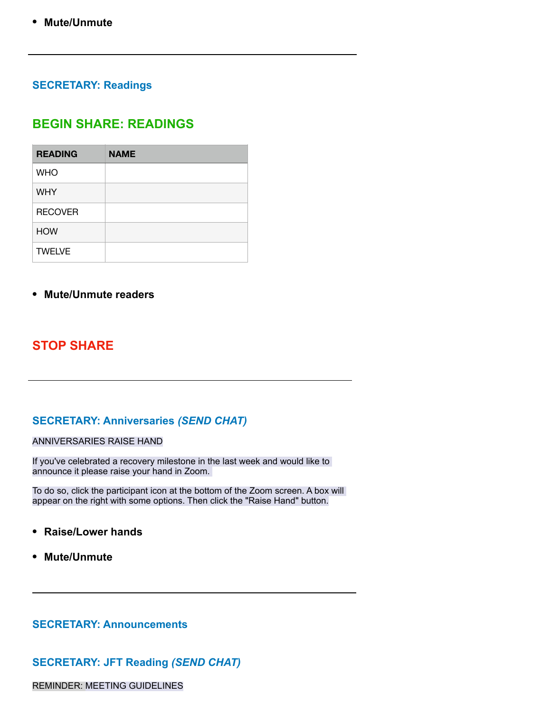# **SECRETARY: Readings**

# **BEGIN SHARE: READINGS**

| <b>READING</b> | <b>NAME</b> |
|----------------|-------------|
| <b>WHO</b>     |             |
| <b>WHY</b>     |             |
| <b>RECOVER</b> |             |
| <b>HOW</b>     |             |
| <b>TWELVE</b>  |             |

## **• Mute/Unmute readers**

# **STOP SHARE**

# **SECRETARY: Anniversaries** *(SEND CHAT)*

#### ANNIVERSARIES RAISE HAND

If you've celebrated a recovery milestone in the last week and would like to announce it please raise your hand in Zoom.

To do so, click the participant icon at the bottom of the Zoom screen. A box will appear on the right with some options. Then click the "Raise Hand" button.

- **• Raise/Lower hands**
- **• Mute/Unmute**

### **SECRETARY: Announcements**

## **SECRETARY: JFT Reading** *(SEND CHAT)*

REMINDER: MEETING GUIDELINES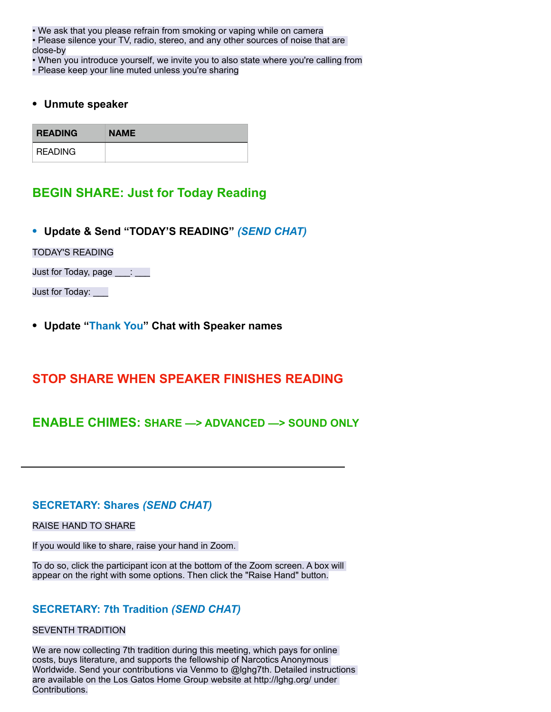• We ask that you please refrain from smoking or vaping while on camera

• Please silence your TV, radio, stereo, and any other sources of noise that are close-by

• When you introduce yourself, we invite you to also state where you're calling from

• Please keep your line muted unless you're sharing

### **• Unmute speaker**

| <b>READING</b> | <b>NAME</b> |
|----------------|-------------|
| <b>READING</b> |             |

# **BEGIN SHARE: Just for Today Reading**

**• Update & Send "TODAY'S READING"** *(SEND CHAT)*

TODAY'S READING

Just for Today, page \_\_\_: \_\_\_

Just for Today: \_\_\_

**• Update ["Thank You](#page-4-1)" Chat with Speaker names** 

# **STOP SHARE WHEN SPEAKER FINISHES READING**

# **ENABLE CHIMES: SHARE —> ADVANCED —> SOUND ONLY**

### **SECRETARY: Shares** *(SEND CHAT)*

#### RAISE HAND TO SHARE

If you would like to share, raise your hand in Zoom.

To do so, click the participant icon at the bottom of the Zoom screen. A box will appear on the right with some options. Then click the "Raise Hand" button.

## **SECRETARY: 7th Tradition** *(SEND CHAT)*

#### SEVENTH TRADITION

We are now collecting 7th tradition during this meeting, which pays for online costs, buys literature, and supports the fellowship of Narcotics Anonymous Worldwide. Send your contributions via Venmo to @lghg7th. Detailed instructions are available on the Los Gatos Home Group website at http://lghg.org/ under Contributions.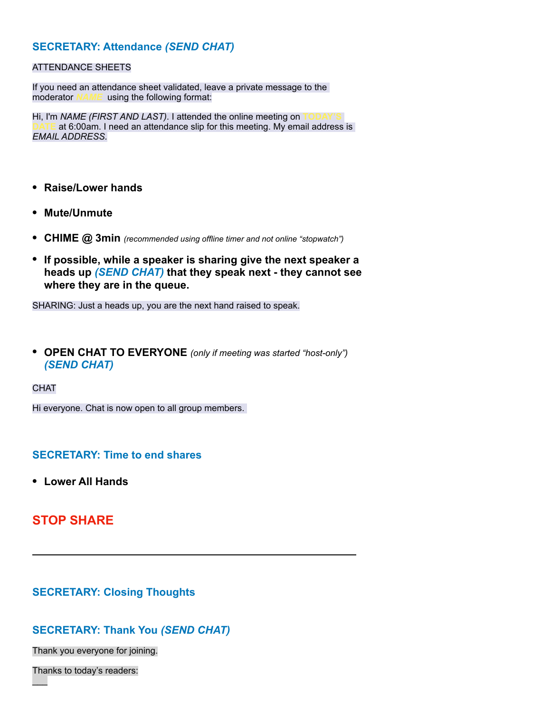## **SECRETARY: Attendance** *(SEND CHAT)*

### <span id="page-4-0"></span>ATTENDANCE SHEETS

If you need an attendance sheet validated, leave a private message to the moderator *NAME* using the following format:

Hi, I'm *NAME (FIRST AND LAST)*. I attended the online meeting on at 6:00am. I need an attendance slip for this meeting. My email address is *EMAIL ADDRESS.* 

- **• Raise/Lower hands**
- **• Mute/Unmute**
- **• CHIME @ 3min** *(recommended using offline timer and not online "stopwatch")*
- **• If possible, while a speaker is sharing give the next speaker a heads up** *(SEND CHAT)* **that they speak next - they cannot see where they are in the queue.**

SHARING: Just a heads up, you are the next hand raised to speak.

- **• OPEN CHAT TO EVERYONE** *(only if meeting was started "host-only") (SEND CHAT)*
- **CHAT**

Hi everyone. Chat is now open to all group members.

### **SECRETARY: Time to end shares**

**• Lower All Hands** 

# **STOP SHARE**

### **SECRETARY: Closing Thoughts**

## <span id="page-4-1"></span>**SECRETARY: Thank You** *(SEND CHAT)*

Thank you everyone for joining.

Thanks to today's readers:

 $\mathcal{L}$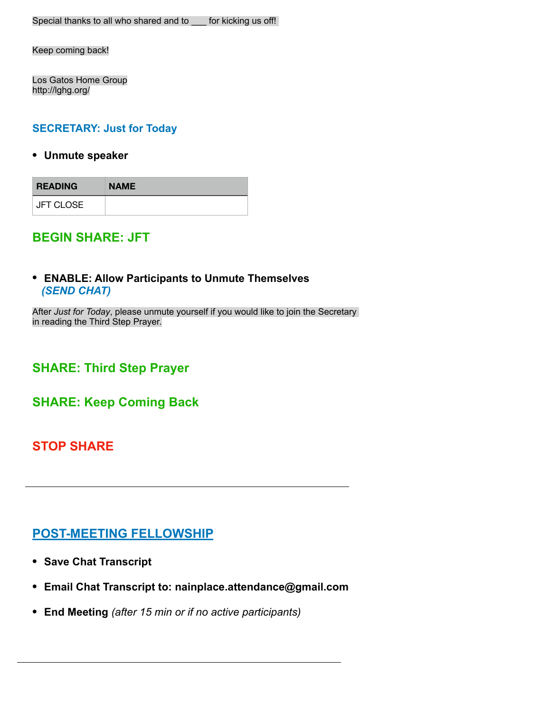Keep coming back!

Los Gatos Home Group http://lghg.org/

## **SECRETARY: Just for Today**

**• Unmute speaker** 

| <b>READING</b>   | <b>NAME</b> |
|------------------|-------------|
| <b>JFT CLOSE</b> |             |

# **BEGIN SHARE: JFT**

## **• ENABLE: Allow Participants to Unmute Themselves** *(SEND CHAT)*

After *Just for Today*, please unmute yourself if you would like to join the Secretary in reading the Third Step Prayer.

**SHARE: Third Step Prayer**

**SHARE: Keep Coming Back**

# **STOP SHARE**

# **POST-MEETING FELLOWSHIP**

- **• Save Chat Transcript**
- **• Email Chat Transcript to: nainplace.attendance@gmail.com**
- **• End Meeting** *(after 15 min or if no active participants)*